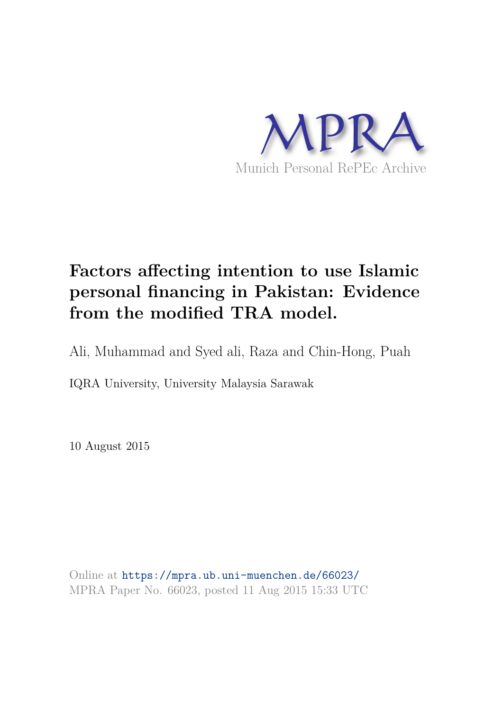

# **Factors affecting intention to use Islamic personal financing in Pakistan: Evidence from the modified TRA model.**

Ali, Muhammad and Syed ali, Raza and Chin-Hong, Puah

IQRA University, University Malaysia Sarawak

10 August 2015

Online at https://mpra.ub.uni-muenchen.de/66023/ MPRA Paper No. 66023, posted 11 Aug 2015 15:33 UTC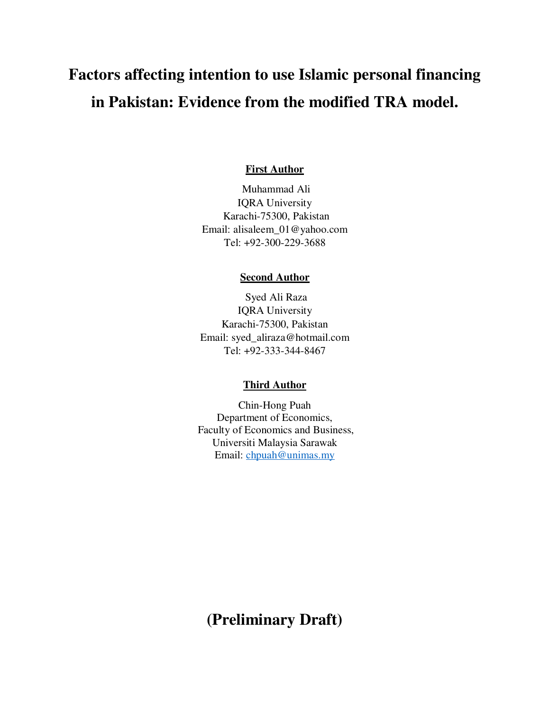# **Factors affecting intention to use Islamic personal financing in Pakistan: Evidence from the modified TRA model.**

### **First Author**

 Muhammad Ali IQRA University Karachi-75300, Pakistan Email: [alisaleem\\_01@yahoo.com](mailto:alisaleem_01@yahoo.com)  Tel: +92-300-229-3688

#### **Second Author**

 Syed Ali Raza IQRA University Karachi-75300, Pakistan Email: [syed\\_aliraza@hotmail.com](mailto:syed_aliraza@hotmail.com)  Tel: +92-333-344-8467

#### **Third Author**

Chin-Hong Puah Department of Economics, Faculty of Economics and Business, Universiti Malaysia Sarawak Email: [chpuah@unimas.my](mailto:chpuah@unimas.my)

**(Preliminary Draft)**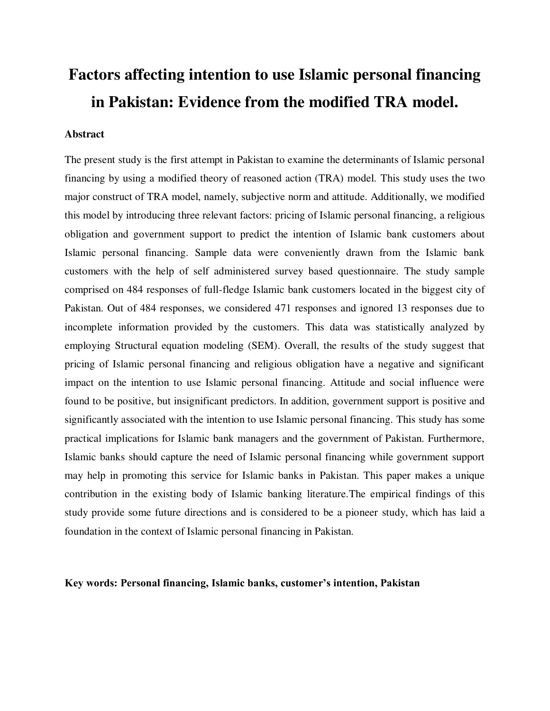# **Factors affecting intention to use Islamic personal financing in Pakistan: Evidence from the modified TRA model.**

# **Abstract**

The present study is the first attempt in Pakistan to examine the determinants of Islamic personal financing by using a modified theory of reasoned action (TRA) model. This study uses the two major construct of TRA model, namely, subjective norm and attitude. Additionally, we modified this model by introducing three relevant factors: pricing of Islamic personal financing, a religious obligation and government support to predict the intention of Islamic bank customers about Islamic personal financing. Sample data were conveniently drawn from the Islamic bank customers with the help of self administered survey based questionnaire. The study sample comprised on 484 responses of full-fledge Islamic bank customers located in the biggest city of Pakistan. Out of 484 responses, we considered 471 responses and ignored 13 responses due to incomplete information provided by the customers. This data was statistically analyzed by employing Structural equation modeling (SEM). Overall, the results of the study suggest that pricing of Islamic personal financing and religious obligation have a negative and significant impact on the intention to use Islamic personal financing. Attitude and social influence were found to be positive, but insignificant predictors. In addition, government support is positive and significantly associated with the intention to use Islamic personal financing. This study has some practical implications for Islamic bank managers and the government of Pakistan. Furthermore, Islamic banks should capture the need of Islamic personal financing while government support may help in promoting this service for Islamic banks in Pakistan. This paper makes a unique contribution in the existing body of Islamic banking literature.The empirical findings of this study provide some future directions and is considered to be a pioneer study, which has laid a foundation in the context of Islamic personal financing in Pakistan.

# **Key words: Personal financing, Islamic banks, customer's intention, Pakistan**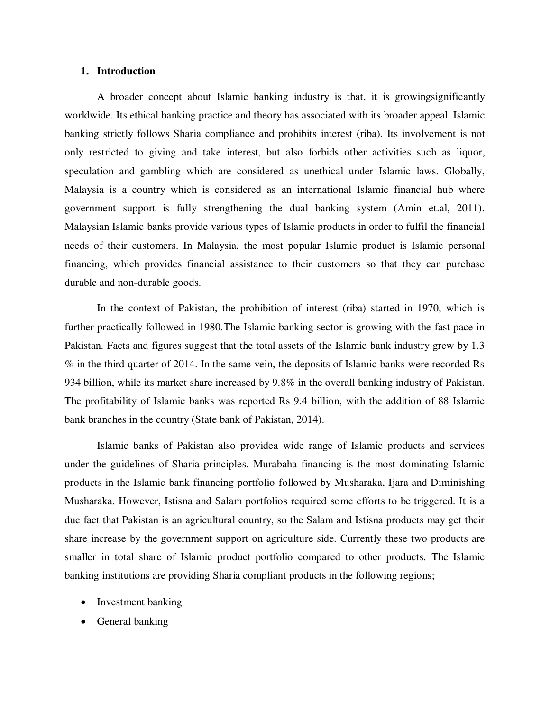# **1. Introduction**

A broader concept about Islamic banking industry is that, it is growingsignificantly worldwide. Its ethical banking practice and theory has associated with its broader appeal. Islamic banking strictly follows Sharia compliance and prohibits interest (riba). Its involvement is not only restricted to giving and take interest, but also forbids other activities such as liquor, speculation and gambling which are considered as unethical under Islamic laws. Globally, Malaysia is a country which is considered as an international Islamic financial hub where government support is fully strengthening the dual banking system (Amin et.al, 2011). Malaysian Islamic banks provide various types of Islamic products in order to fulfil the financial needs of their customers. In Malaysia, the most popular Islamic product is Islamic personal financing, which provides financial assistance to their customers so that they can purchase durable and non-durable goods.

In the context of Pakistan, the prohibition of interest (riba) started in 1970, which is further practically followed in 1980.The Islamic banking sector is growing with the fast pace in Pakistan. Facts and figures suggest that the total assets of the Islamic bank industry grew by 1.3 % in the third quarter of 2014. In the same vein, the deposits of Islamic banks were recorded Rs 934 billion, while its market share increased by 9.8% in the overall banking industry of Pakistan. The profitability of Islamic banks was reported Rs 9.4 billion, with the addition of 88 Islamic bank branches in the country (State bank of Pakistan, 2014).

Islamic banks of Pakistan also providea wide range of Islamic products and services under the guidelines of Sharia principles. Murabaha financing is the most dominating Islamic products in the Islamic bank financing portfolio followed by Musharaka, Ijara and Diminishing Musharaka. However, Istisna and Salam portfolios required some efforts to be triggered. It is a due fact that Pakistan is an agricultural country, so the Salam and Istisna products may get their share increase by the government support on agriculture side. Currently these two products are smaller in total share of Islamic product portfolio compared to other products. The Islamic banking institutions are providing Sharia compliant products in the following regions;

- Investment banking
- General banking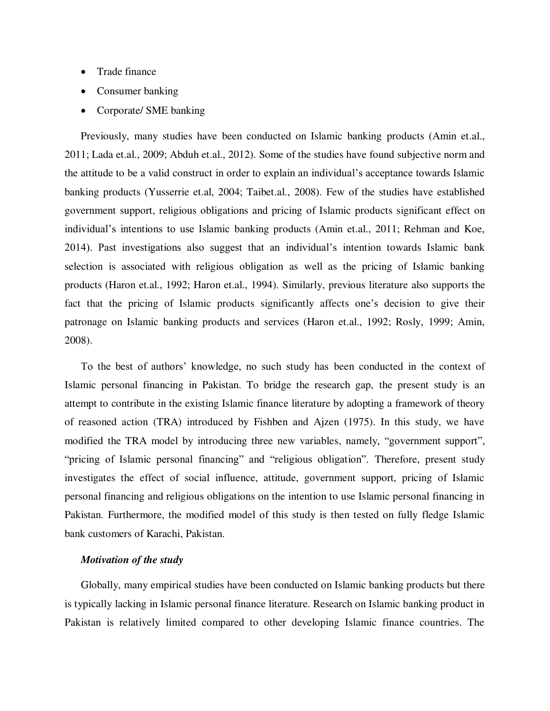- Trade finance
- Consumer banking
- Corporate/ SME banking

Previously, many studies have been conducted on Islamic banking products (Amin et.al., 2011; Lada et.al., 2009; Abduh et.al., 2012). Some of the studies have found subjective norm and the attitude to be a valid construct in order to explain an individual"s acceptance towards Islamic banking products (Yusserrie et.al, 2004; Taibet.al., 2008). Few of the studies have established government support, religious obligations and pricing of Islamic products significant effect on individual's intentions to use Islamic banking products (Amin et.al., 2011; Rehman and Koe, 2014). Past investigations also suggest that an individual"s intention towards Islamic bank selection is associated with religious obligation as well as the pricing of Islamic banking products (Haron et.al., 1992; Haron et.al., 1994). Similarly, previous literature also supports the fact that the pricing of Islamic products significantly affects one"s decision to give their patronage on Islamic banking products and services (Haron et.al., 1992; Rosly, 1999; Amin, 2008).

To the best of authors" knowledge, no such study has been conducted in the context of Islamic personal financing in Pakistan. To bridge the research gap, the present study is an attempt to contribute in the existing Islamic finance literature by adopting a framework of theory of reasoned action (TRA) introduced by Fishben and Ajzen (1975). In this study, we have modified the TRA model by introducing three new variables, namely, "government support", "pricing of Islamic personal financing" and "religious obligation". Therefore, present study investigates the effect of social influence, attitude, government support, pricing of Islamic personal financing and religious obligations on the intention to use Islamic personal financing in Pakistan. Furthermore, the modified model of this study is then tested on fully fledge Islamic bank customers of Karachi, Pakistan.

## *Motivation of the study*

Globally, many empirical studies have been conducted on Islamic banking products but there is typically lacking in Islamic personal finance literature. Research on Islamic banking product in Pakistan is relatively limited compared to other developing Islamic finance countries. The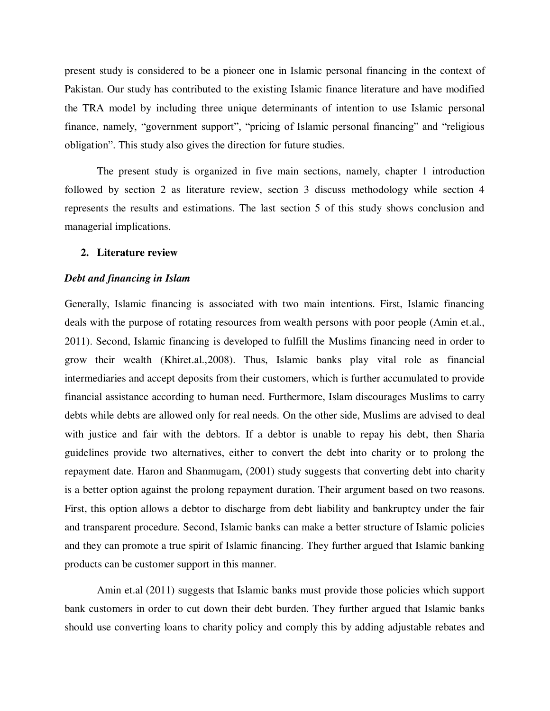present study is considered to be a pioneer one in Islamic personal financing in the context of Pakistan. Our study has contributed to the existing Islamic finance literature and have modified the TRA model by including three unique determinants of intention to use Islamic personal finance, namely, "government support", "pricing of Islamic personal financing" and "religious obligation". This study also gives the direction for future studies.

 The present study is organized in five main sections, namely, chapter 1 introduction followed by section 2 as literature review, section 3 discuss methodology while section 4 represents the results and estimations. The last section 5 of this study shows conclusion and managerial implications.

#### **2. Literature review**

#### *Debt and financing in Islam*

Generally, Islamic financing is associated with two main intentions. First, Islamic financing deals with the purpose of rotating resources from wealth persons with poor people (Amin et.al., 2011). Second, Islamic financing is developed to fulfill the Muslims financing need in order to grow their wealth (Khiret.al.,2008). Thus, Islamic banks play vital role as financial intermediaries and accept deposits from their customers, which is further accumulated to provide financial assistance according to human need. Furthermore, Islam discourages Muslims to carry debts while debts are allowed only for real needs. On the other side, Muslims are advised to deal with justice and fair with the debtors. If a debtor is unable to repay his debt, then Sharia guidelines provide two alternatives, either to convert the debt into charity or to prolong the repayment date. Haron and Shanmugam, (2001) study suggests that converting debt into charity is a better option against the prolong repayment duration. Their argument based on two reasons. First, this option allows a debtor to discharge from debt liability and bankruptcy under the fair and transparent procedure. Second, Islamic banks can make a better structure of Islamic policies and they can promote a true spirit of Islamic financing. They further argued that Islamic banking products can be customer support in this manner.

 Amin et.al (2011) suggests that Islamic banks must provide those policies which support bank customers in order to cut down their debt burden. They further argued that Islamic banks should use converting loans to charity policy and comply this by adding adjustable rebates and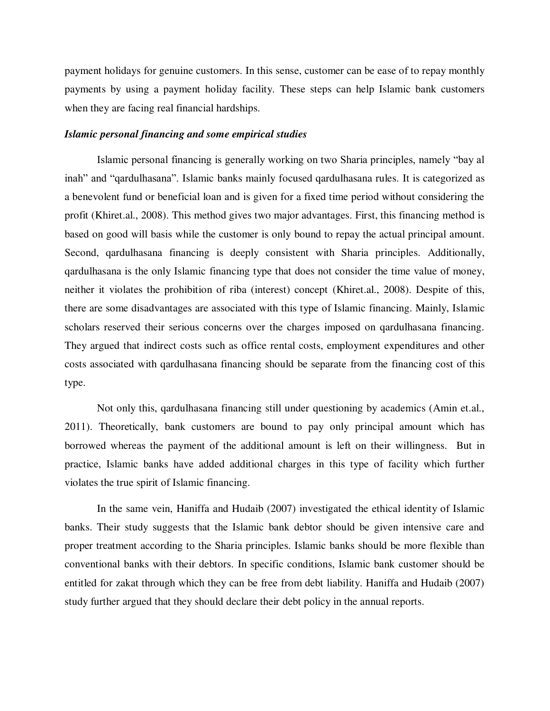payment holidays for genuine customers. In this sense, customer can be ease of to repay monthly payments by using a payment holiday facility. These steps can help Islamic bank customers when they are facing real financial hardships.

#### *Islamic personal financing and some empirical studies*

Islamic personal financing is generally working on two Sharia principles, namely "bay al inah" and "qardulhasana". Islamic banks mainly focused qardulhasana rules. It is categorized as a benevolent fund or beneficial loan and is given for a fixed time period without considering the profit (Khiret.al., 2008). This method gives two major advantages. First, this financing method is based on good will basis while the customer is only bound to repay the actual principal amount. Second, qardulhasana financing is deeply consistent with Sharia principles. Additionally, qardulhasana is the only Islamic financing type that does not consider the time value of money, neither it violates the prohibition of riba (interest) concept (Khiret.al., 2008). Despite of this, there are some disadvantages are associated with this type of Islamic financing. Mainly, Islamic scholars reserved their serious concerns over the charges imposed on qardulhasana financing. They argued that indirect costs such as office rental costs, employment expenditures and other costs associated with qardulhasana financing should be separate from the financing cost of this type.

 Not only this, qardulhasana financing still under questioning by academics (Amin et.al., 2011). Theoretically, bank customers are bound to pay only principal amount which has borrowed whereas the payment of the additional amount is left on their willingness. But in practice, Islamic banks have added additional charges in this type of facility which further violates the true spirit of Islamic financing.

In the same vein, Haniffa and Hudaib (2007) investigated the ethical identity of Islamic banks. Their study suggests that the Islamic bank debtor should be given intensive care and proper treatment according to the Sharia principles. Islamic banks should be more flexible than conventional banks with their debtors. In specific conditions, Islamic bank customer should be entitled for zakat through which they can be free from debt liability. Haniffa and Hudaib (2007) study further argued that they should declare their debt policy in the annual reports.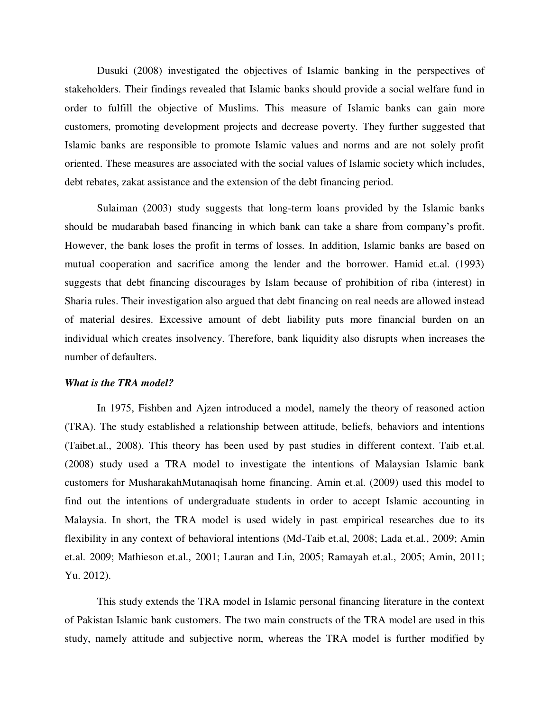Dusuki (2008) investigated the objectives of Islamic banking in the perspectives of stakeholders. Their findings revealed that Islamic banks should provide a social welfare fund in order to fulfill the objective of Muslims. This measure of Islamic banks can gain more customers, promoting development projects and decrease poverty. They further suggested that Islamic banks are responsible to promote Islamic values and norms and are not solely profit oriented. These measures are associated with the social values of Islamic society which includes, debt rebates, zakat assistance and the extension of the debt financing period.

 Sulaiman (2003) study suggests that long-term loans provided by the Islamic banks should be mudarabah based financing in which bank can take a share from company"s profit. However, the bank loses the profit in terms of losses. In addition, Islamic banks are based on mutual cooperation and sacrifice among the lender and the borrower. Hamid et.al. (1993) suggests that debt financing discourages by Islam because of prohibition of riba (interest) in Sharia rules. Their investigation also argued that debt financing on real needs are allowed instead of material desires. Excessive amount of debt liability puts more financial burden on an individual which creates insolvency. Therefore, bank liquidity also disrupts when increases the number of defaulters.

#### *What is the TRA model?*

In 1975, Fishben and Ajzen introduced a model, namely the theory of reasoned action (TRA). The study established a relationship between attitude, beliefs, behaviors and intentions (Taibet.al., 2008). This theory has been used by past studies in different context. Taib et.al. (2008) study used a TRA model to investigate the intentions of Malaysian Islamic bank customers for MusharakahMutanaqisah home financing. Amin et.al. (2009) used this model to find out the intentions of undergraduate students in order to accept Islamic accounting in Malaysia. In short, the TRA model is used widely in past empirical researches due to its flexibility in any context of behavioral intentions (Md-Taib et.al, 2008; Lada et.al., 2009; Amin et.al. 2009; Mathieson et.al., 2001; Lauran and Lin, 2005; Ramayah et.al., 2005; Amin, 2011; Yu. 2012).

 This study extends the TRA model in Islamic personal financing literature in the context of Pakistan Islamic bank customers. The two main constructs of the TRA model are used in this study, namely attitude and subjective norm, whereas the TRA model is further modified by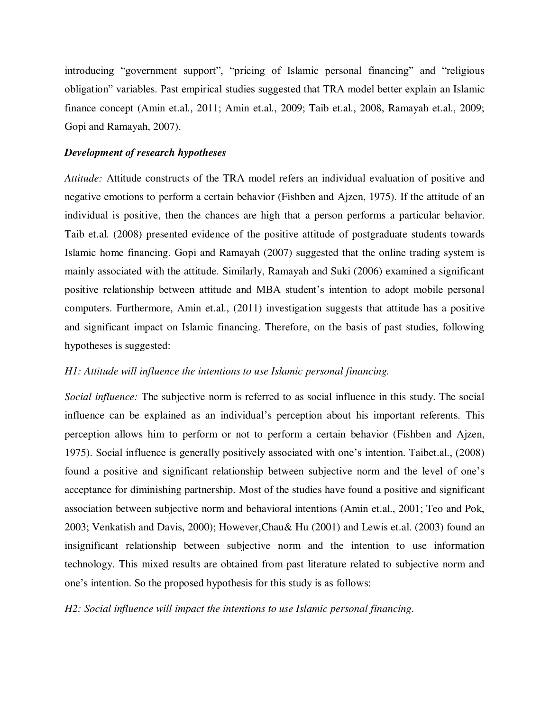introducing "government support", "pricing of Islamic personal financing" and "religious obligation" variables. Past empirical studies suggested that TRA model better explain an Islamic finance concept (Amin et.al., 2011; Amin et.al., 2009; Taib et.al., 2008, Ramayah et.al., 2009; Gopi and Ramayah, 2007).

# *Development of research hypotheses*

*Attitude:* Attitude constructs of the TRA model refers an individual evaluation of positive and negative emotions to perform a certain behavior (Fishben and Ajzen, 1975). If the attitude of an individual is positive, then the chances are high that a person performs a particular behavior. Taib et.al. (2008) presented evidence of the positive attitude of postgraduate students towards Islamic home financing. Gopi and Ramayah (2007) suggested that the online trading system is mainly associated with the attitude. Similarly, Ramayah and Suki (2006) examined a significant positive relationship between attitude and MBA student"s intention to adopt mobile personal computers. Furthermore, Amin et.al., (2011) investigation suggests that attitude has a positive and significant impact on Islamic financing. Therefore, on the basis of past studies, following hypotheses is suggested:

# *H1: Attitude will influence the intentions to use Islamic personal financing.*

*Social influence:* The subjective norm is referred to as social influence in this study. The social influence can be explained as an individual"s perception about his important referents. This perception allows him to perform or not to perform a certain behavior (Fishben and Ajzen, 1975). Social influence is generally positively associated with one"s intention. Taibet.al., (2008) found a positive and significant relationship between subjective norm and the level of one"s acceptance for diminishing partnership. Most of the studies have found a positive and significant association between subjective norm and behavioral intentions (Amin et.al., 2001; Teo and Pok, 2003; Venkatish and Davis, 2000); However,Chau& Hu (2001) and Lewis et.al. (2003) found an insignificant relationship between subjective norm and the intention to use information technology. This mixed results are obtained from past literature related to subjective norm and one"s intention. So the proposed hypothesis for this study is as follows:

*H2: Social influence will impact the intentions to use Islamic personal financing.*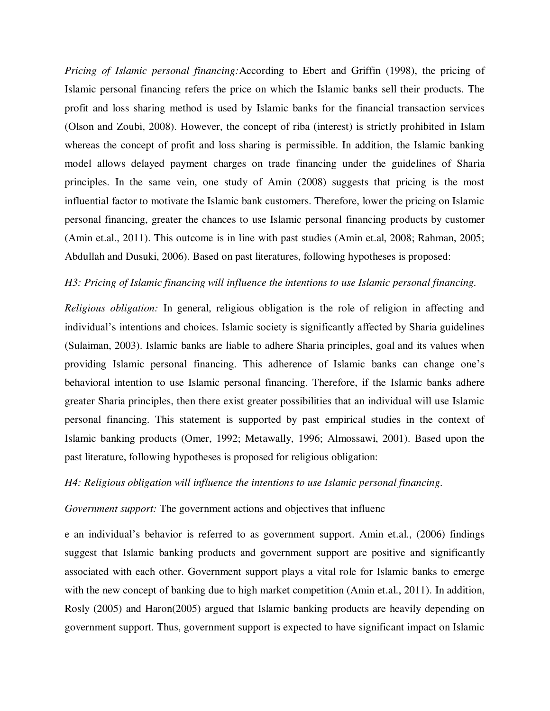*Pricing of Islamic personal financing:*According to Ebert and Griffin (1998), the pricing of Islamic personal financing refers the price on which the Islamic banks sell their products. The profit and loss sharing method is used by Islamic banks for the financial transaction services (Olson and Zoubi, 2008). However, the concept of riba (interest) is strictly prohibited in Islam whereas the concept of profit and loss sharing is permissible. In addition, the Islamic banking model allows delayed payment charges on trade financing under the guidelines of Sharia principles. In the same vein, one study of Amin (2008) suggests that pricing is the most influential factor to motivate the Islamic bank customers. Therefore, lower the pricing on Islamic personal financing, greater the chances to use Islamic personal financing products by customer (Amin et.al., 2011). This outcome is in line with past studies (Amin et.al, 2008; Rahman, 2005; Abdullah and Dusuki, 2006). Based on past literatures, following hypotheses is proposed:

# *H3: Pricing of Islamic financing will influence the intentions to use Islamic personal financing.*

*Religious obligation:* In general, religious obligation is the role of religion in affecting and individual"s intentions and choices. Islamic society is significantly affected by Sharia guidelines (Sulaiman, 2003). Islamic banks are liable to adhere Sharia principles, goal and its values when providing Islamic personal financing. This adherence of Islamic banks can change one"s behavioral intention to use Islamic personal financing. Therefore, if the Islamic banks adhere greater Sharia principles, then there exist greater possibilities that an individual will use Islamic personal financing. This statement is supported by past empirical studies in the context of Islamic banking products (Omer, 1992; Metawally, 1996; Almossawi, 2001). Based upon the past literature, following hypotheses is proposed for religious obligation:

# *H4: Religious obligation will influence the intentions to use Islamic personal financing.*

# *Government support:* The government actions and objectives that influenc

e an individual"s behavior is referred to as government support. Amin et.al., (2006) findings suggest that Islamic banking products and government support are positive and significantly associated with each other. Government support plays a vital role for Islamic banks to emerge with the new concept of banking due to high market competition (Amin et.al., 2011). In addition, Rosly (2005) and Haron(2005) argued that Islamic banking products are heavily depending on government support. Thus, government support is expected to have significant impact on Islamic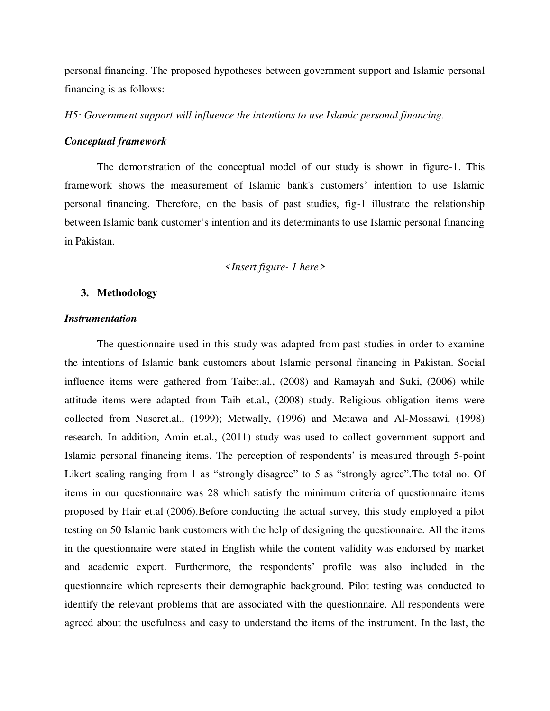personal financing. The proposed hypotheses between government support and Islamic personal financing is as follows:

*H5: Government support will influence the intentions to use Islamic personal financing.* 

#### *Conceptual framework*

The demonstration of the conceptual model of our study is shown in figure-1. This framework shows the measurement of Islamic bank's customers" intention to use Islamic personal financing. Therefore, on the basis of past studies, fig-1 illustrate the relationship between Islamic bank customer"s intention and its determinants to use Islamic personal financing in Pakistan.

#### *<Insert figure- 1 here>*

# **3. Methodology**

# *Instrumentation*

The questionnaire used in this study was adapted from past studies in order to examine the intentions of Islamic bank customers about Islamic personal financing in Pakistan. Social influence items were gathered from Taibet.al., (2008) and Ramayah and Suki, (2006) while attitude items were adapted from Taib et.al., (2008) study. Religious obligation items were collected from Naseret.al., (1999); Metwally, (1996) and Metawa and Al-Mossawi, (1998) research. In addition, Amin et.al., (2011) study was used to collect government support and Islamic personal financing items. The perception of respondents' is measured through 5-point Likert scaling ranging from 1 as "strongly disagree" to 5 as "strongly agree". The total no. Of items in our questionnaire was 28 which satisfy the minimum criteria of questionnaire items proposed by Hair et.al (2006).Before conducting the actual survey, this study employed a pilot testing on 50 Islamic bank customers with the help of designing the questionnaire. All the items in the questionnaire were stated in English while the content validity was endorsed by market and academic expert. Furthermore, the respondents' profile was also included in the questionnaire which represents their demographic background. Pilot testing was conducted to identify the relevant problems that are associated with the questionnaire. All respondents were agreed about the usefulness and easy to understand the items of the instrument. In the last, the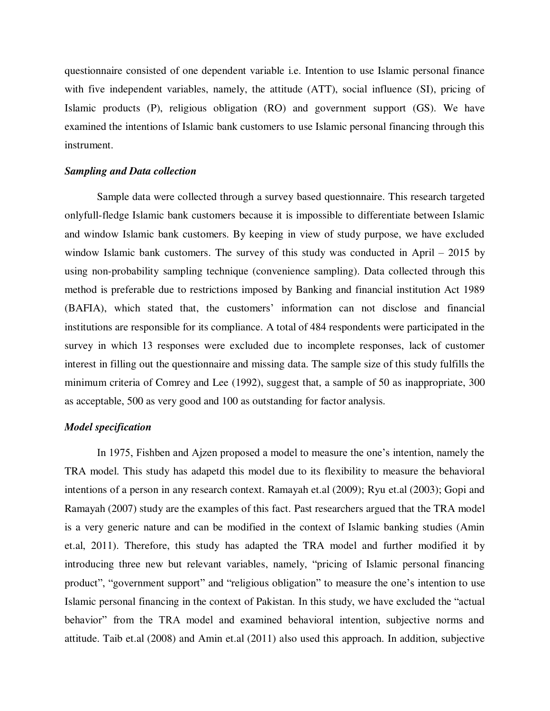questionnaire consisted of one dependent variable i.e. Intention to use Islamic personal finance with five independent variables, namely, the attitude (ATT), social influence (SI), pricing of Islamic products (P), religious obligation (RO) and government support (GS). We have examined the intentions of Islamic bank customers to use Islamic personal financing through this instrument.

#### *Sampling and Data collection*

Sample data were collected through a survey based questionnaire. This research targeted onlyfull-fledge Islamic bank customers because it is impossible to differentiate between Islamic and window Islamic bank customers. By keeping in view of study purpose, we have excluded window Islamic bank customers. The survey of this study was conducted in April – 2015 by using non-probability sampling technique (convenience sampling). Data collected through this method is preferable due to restrictions imposed by Banking and financial institution Act 1989 (BAFIA), which stated that, the customers" information can not disclose and financial institutions are responsible for its compliance. A total of 484 respondents were participated in the survey in which 13 responses were excluded due to incomplete responses, lack of customer interest in filling out the questionnaire and missing data. The sample size of this study fulfills the minimum criteria of Comrey and Lee (1992), suggest that, a sample of 50 as inappropriate, 300 as acceptable, 500 as very good and 100 as outstanding for factor analysis.

# *Model specification*

In 1975, Fishben and Ajzen proposed a model to measure the one"s intention, namely the TRA model. This study has adapetd this model due to its flexibility to measure the behavioral intentions of a person in any research context. Ramayah et.al (2009); Ryu et.al (2003); Gopi and Ramayah (2007) study are the examples of this fact. Past researchers argued that the TRA model is a very generic nature and can be modified in the context of Islamic banking studies (Amin et.al, 2011). Therefore, this study has adapted the TRA model and further modified it by introducing three new but relevant variables, namely, "pricing of Islamic personal financing product", "government support" and "religious obligation" to measure the one"s intention to use Islamic personal financing in the context of Pakistan. In this study, we have excluded the "actual behavior" from the TRA model and examined behavioral intention, subjective norms and attitude. Taib et.al (2008) and Amin et.al (2011) also used this approach. In addition, subjective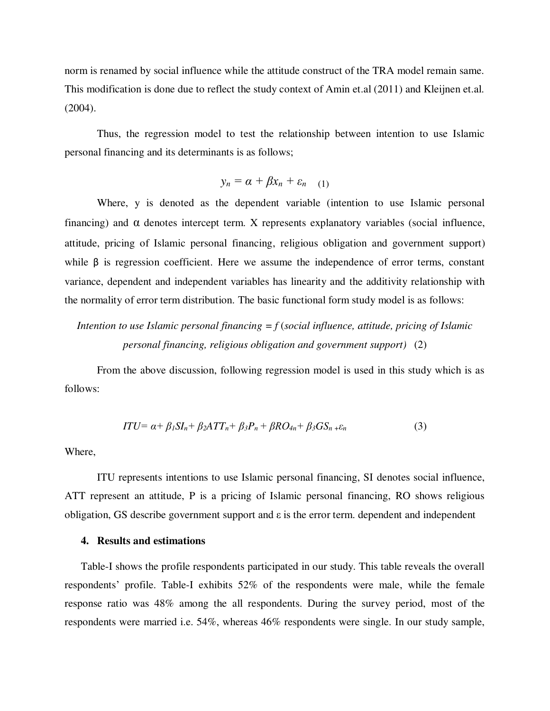norm is renamed by social influence while the attitude construct of the TRA model remain same. This modification is done due to reflect the study context of Amin et.al (2011) and Kleijnen et.al. (2004).

Thus, the regression model to test the relationship between intention to use Islamic personal financing and its determinants is as follows;

$$
y_n = \alpha + \beta x_n + \varepsilon_{n} \quad (1)
$$

Where, y is denoted as the dependent variable (intention to use Islamic personal financing) and  $\alpha$  denotes intercept term. X represents explanatory variables (social influence, attitude, pricing of Islamic personal financing, religious obligation and government support) while  $\beta$  is regression coefficient. Here we assume the independence of error terms, constant variance, dependent and independent variables has linearity and the additivity relationship with the normality of error term distribution. The basic functional form study model is as follows:

# *Intention to use Islamic personal financing*  $=f$  *(social influence, attitude, pricing of Islamic personal financing, religious obligation and government support)* (2)

From the above discussion, following regression model is used in this study which is as follows:

$$
ITU = \alpha + \beta_1 SI_n + \beta_2 ATT_n + \beta_3 P_n + \beta R O_{4n} + \beta_3 GS_n + \varepsilon_n \tag{3}
$$

Where,

ITU represents intentions to use Islamic personal financing, SI denotes social influence, ATT represent an attitude, P is a pricing of Islamic personal financing, RO shows religious obligation, GS describe government support and ε is the error term. dependent and independent

# **4. Results and estimations**

Table-I shows the profile respondents participated in our study. This table reveals the overall respondents" profile. Table-I exhibits 52% of the respondents were male, while the female response ratio was 48% among the all respondents. During the survey period, most of the respondents were married i.e. 54%, whereas 46% respondents were single. In our study sample,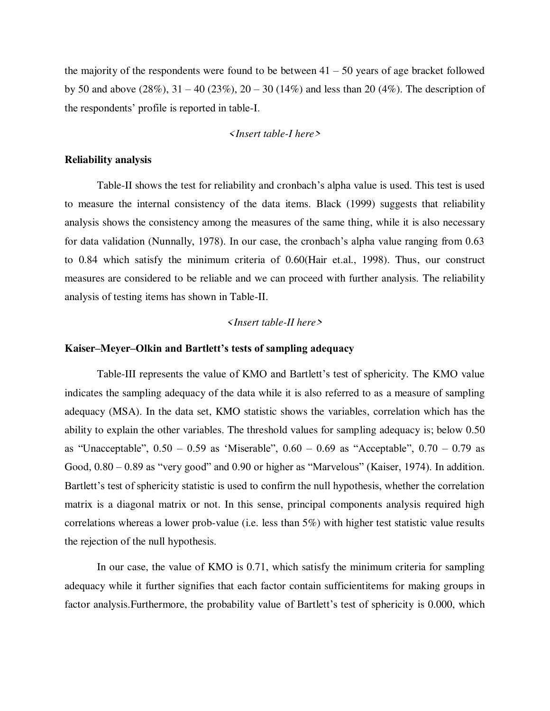the majority of the respondents were found to be between  $41 - 50$  years of age bracket followed by 50 and above (28%),  $31 - 40$  (23%),  $20 - 30$  (14%) and less than 20 (4%). The description of the respondents" profile is reported in table-I.

# *<Insert table-I here>*

#### **Reliability analysis**

Table-II shows the test for reliability and cronbach"s alpha value is used. This test is used to measure the internal consistency of the data items. Black (1999) suggests that reliability analysis shows the consistency among the measures of the same thing, while it is also necessary for data validation (Nunnally, 1978). In our case, the cronbach's alpha value ranging from 0.63 to 0.84 which satisfy the minimum criteria of 0.60(Hair et.al., 1998). Thus, our construct measures are considered to be reliable and we can proceed with further analysis. The reliability analysis of testing items has shown in Table-II.

#### *<Insert table-II here>*

#### **Kaiser–Meyer–Olkin and Bartlett's tests of sampling adequacy**

Table-III represents the value of KMO and Bartlett's test of sphericity. The KMO value indicates the sampling adequacy of the data while it is also referred to as a measure of sampling adequacy (MSA). In the data set, KMO statistic shows the variables, correlation which has the ability to explain the other variables. The threshold values for sampling adequacy is; below 0.50 as "Unacceptable", 0.50 – 0.59 as "Miserable", 0.60 – 0.69 as "Acceptable", 0.70 – 0.79 as Good,  $0.80 - 0.89$  as "very good" and  $0.90$  or higher as "Marvelous" (Kaiser, 1974). In addition. Bartlett's test of sphericity statistic is used to confirm the null hypothesis, whether the correlation matrix is a diagonal matrix or not. In this sense, principal components analysis required high correlations whereas a lower prob-value (i.e. less than 5%) with higher test statistic value results the rejection of the null hypothesis.

 In our case, the value of KMO is 0.71, which satisfy the minimum criteria for sampling adequacy while it further signifies that each factor contain sufficientitems for making groups in factor analysis. Furthermore, the probability value of Bartlett's test of sphericity is 0.000, which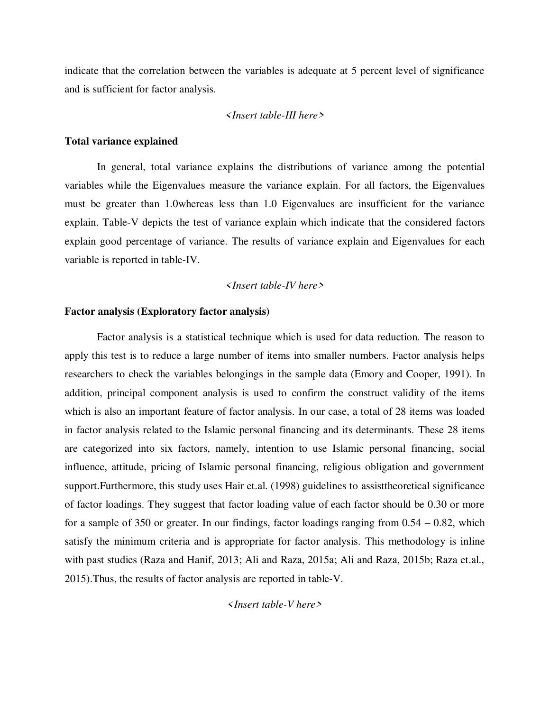indicate that the correlation between the variables is adequate at 5 percent level of significance and is sufficient for factor analysis.

# *<Insert table-III here>*

#### **Total variance explained**

 In general, total variance explains the distributions of variance among the potential variables while the Eigenvalues measure the variance explain. For all factors, the Eigenvalues must be greater than 1.0whereas less than 1.0 Eigenvalues are insufficient for the variance explain. Table-V depicts the test of variance explain which indicate that the considered factors explain good percentage of variance. The results of variance explain and Eigenvalues for each variable is reported in table-IV.

#### *<Insert table-IV here>*

#### **Factor analysis (Exploratory factor analysis)**

Factor analysis is a statistical technique which is used for data reduction. The reason to apply this test is to reduce a large number of items into smaller numbers. Factor analysis helps researchers to check the variables belongings in the sample data (Emory and Cooper, 1991). In addition, principal component analysis is used to confirm the construct validity of the items which is also an important feature of factor analysis. In our case, a total of 28 items was loaded in factor analysis related to the Islamic personal financing and its determinants. These 28 items are categorized into six factors, namely, intention to use Islamic personal financing, social influence, attitude, pricing of Islamic personal financing, religious obligation and government support.Furthermore, this study uses Hair et.al. (1998) guidelines to assisttheoretical significance of factor loadings. They suggest that factor loading value of each factor should be 0.30 or more for a sample of 350 or greater. In our findings, factor loadings ranging from  $0.54 - 0.82$ , which satisfy the minimum criteria and is appropriate for factor analysis. This methodology is inline with past studies (Raza and Hanif, 2013; Ali and Raza, 2015a; Ali and Raza, 2015b; Raza et.al., 2015).Thus, the results of factor analysis are reported in table-V.

*<Insert table-V here>*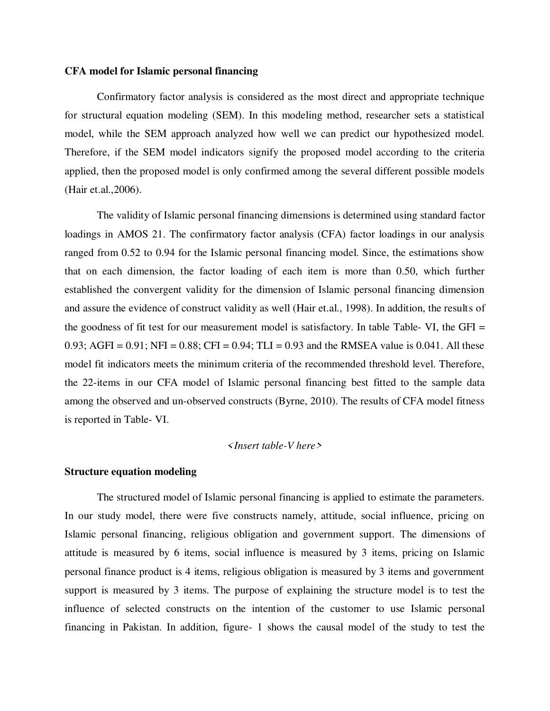### **CFA model for Islamic personal financing**

Confirmatory factor analysis is considered as the most direct and appropriate technique for structural equation modeling (SEM). In this modeling method, researcher sets a statistical model, while the SEM approach analyzed how well we can predict our hypothesized model. Therefore, if the SEM model indicators signify the proposed model according to the criteria applied, then the proposed model is only confirmed among the several different possible models (Hair et.al.,2006).

 The validity of Islamic personal financing dimensions is determined using standard factor loadings in AMOS 21. The confirmatory factor analysis (CFA) factor loadings in our analysis ranged from 0.52 to 0.94 for the Islamic personal financing model. Since, the estimations show that on each dimension, the factor loading of each item is more than 0.50, which further established the convergent validity for the dimension of Islamic personal financing dimension and assure the evidence of construct validity as well (Hair et.al., 1998). In addition, the results of the goodness of fit test for our measurement model is satisfactory. In table Table- VI, the GFI = 0.93; AGFI = 0.91; NFI = 0.88; CFI = 0.94; TLI = 0.93 and the RMSEA value is 0.041. All these model fit indicators meets the minimum criteria of the recommended threshold level. Therefore, the 22-items in our CFA model of Islamic personal financing best fitted to the sample data among the observed and un-observed constructs (Byrne, 2010). The results of CFA model fitness is reported in Table- VI.

# *<Insert table-V here>*

#### **Structure equation modeling**

The structured model of Islamic personal financing is applied to estimate the parameters. In our study model, there were five constructs namely, attitude, social influence, pricing on Islamic personal financing, religious obligation and government support. The dimensions of attitude is measured by 6 items, social influence is measured by 3 items, pricing on Islamic personal finance product is 4 items, religious obligation is measured by 3 items and government support is measured by 3 items. The purpose of explaining the structure model is to test the influence of selected constructs on the intention of the customer to use Islamic personal financing in Pakistan. In addition, figure- 1 shows the causal model of the study to test the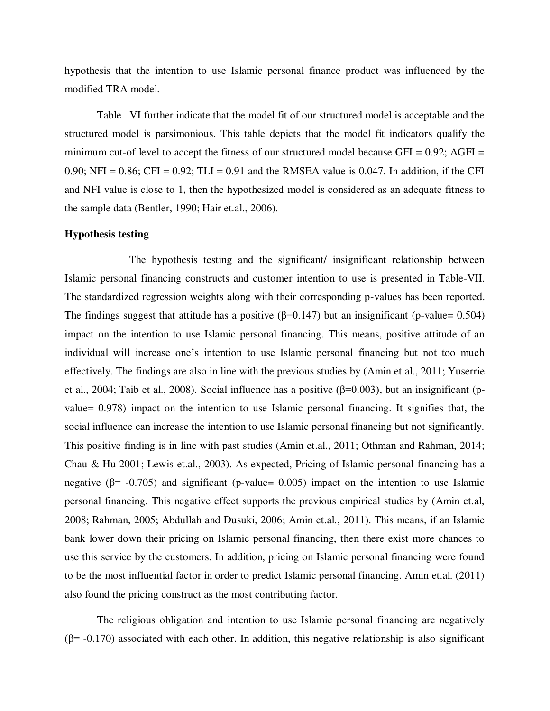hypothesis that the intention to use Islamic personal finance product was influenced by the modified TRA model.

 Table– VI further indicate that the model fit of our structured model is acceptable and the structured model is parsimonious. This table depicts that the model fit indicators qualify the minimum cut-of level to accept the fitness of our structured model because  $GFI = 0.92$ ;  $AGFI =$ 0.90; NFI =  $0.86$ ; CFI =  $0.92$ ; TLI =  $0.91$  and the RMSEA value is 0.047. In addition, if the CFI and NFI value is close to 1, then the hypothesized model is considered as an adequate fitness to the sample data (Bentler, 1990; Hair et.al., 2006).

#### **Hypothesis testing**

 The hypothesis testing and the significant/ insignificant relationship between Islamic personal financing constructs and customer intention to use is presented in Table-VII. The standardized regression weights along with their corresponding p-values has been reported. The findings suggest that attitude has a positive ( $\beta$ =0.147) but an insignificant (p-value= 0.504) impact on the intention to use Islamic personal financing. This means, positive attitude of an individual will increase one"s intention to use Islamic personal financing but not too much effectively. The findings are also in line with the previous studies by (Amin et.al., 2011; Yuserrie et al., 2004; Taib et al., 2008). Social influence has a positive  $(β=0.003)$ , but an insignificant (pvalue= 0.978) impact on the intention to use Islamic personal financing. It signifies that, the social influence can increase the intention to use Islamic personal financing but not significantly. This positive finding is in line with past studies (Amin et.al., 2011; Othman and Rahman, 2014; Chau & Hu 2001; Lewis et.al., 2003). As expected, Pricing of Islamic personal financing has a negative ( $\beta$ = -0.705) and significant (p-value= 0.005) impact on the intention to use Islamic personal financing. This negative effect supports the previous empirical studies by (Amin et.al, 2008; Rahman, 2005; Abdullah and Dusuki, 2006; Amin et.al., 2011). This means, if an Islamic bank lower down their pricing on Islamic personal financing, then there exist more chances to use this service by the customers. In addition, pricing on Islamic personal financing were found to be the most influential factor in order to predict Islamic personal financing. Amin et.al. (2011) also found the pricing construct as the most contributing factor.

 The religious obligation and intention to use Islamic personal financing are negatively  $(\beta$ = -0.170) associated with each other. In addition, this negative relationship is also significant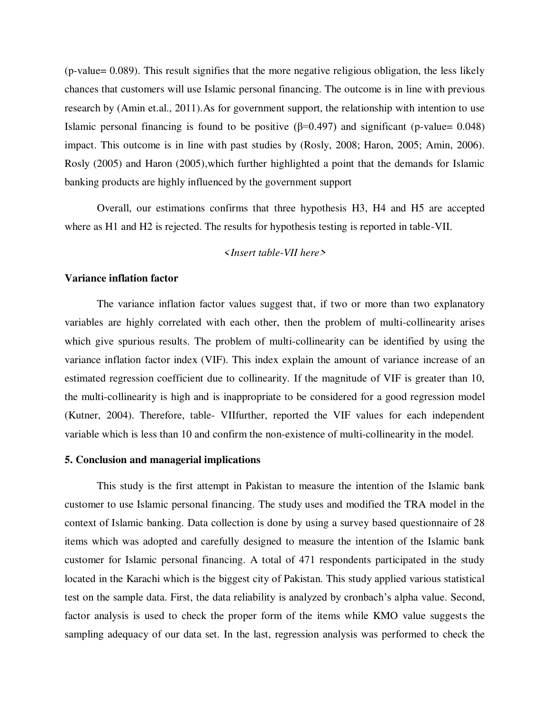(p-value= 0.089). This result signifies that the more negative religious obligation, the less likely chances that customers will use Islamic personal financing. The outcome is in line with previous research by (Amin et.al., 2011).As for government support, the relationship with intention to use Islamic personal financing is found to be positive  $(\beta=0.497)$  and significant (p-value= 0.048) impact. This outcome is in line with past studies by (Rosly, 2008; Haron, 2005; Amin, 2006). Rosly (2005) and Haron (2005),which further highlighted a point that the demands for Islamic banking products are highly influenced by the government support

 Overall, our estimations confirms that three hypothesis H3, H4 and H5 are accepted where as H1 and H2 is rejected. The results for hypothesis testing is reported in table-VII.

# *<Insert table-VII here>*

# **Variance inflation factor**

The variance inflation factor values suggest that, if two or more than two explanatory variables are highly correlated with each other, then the problem of multi-collinearity arises which give spurious results. The problem of multi-collinearity can be identified by using the variance inflation factor index (VIF). This index explain the amount of variance increase of an estimated regression coefficient due to collinearity. If the magnitude of VIF is greater than 10, the multi-collinearity is high and is inappropriate to be considered for a good regression model (Kutner, 2004). Therefore, table- VIIfurther, reported the VIF values for each independent variable which is less than 10 and confirm the non-existence of multi-collinearity in the model.

#### **5. Conclusion and managerial implications**

This study is the first attempt in Pakistan to measure the intention of the Islamic bank customer to use Islamic personal financing. The study uses and modified the TRA model in the context of Islamic banking. Data collection is done by using a survey based questionnaire of 28 items which was adopted and carefully designed to measure the intention of the Islamic bank customer for Islamic personal financing. A total of 471 respondents participated in the study located in the Karachi which is the biggest city of Pakistan. This study applied various statistical test on the sample data. First, the data reliability is analyzed by cronbach"s alpha value. Second, factor analysis is used to check the proper form of the items while KMO value suggests the sampling adequacy of our data set. In the last, regression analysis was performed to check the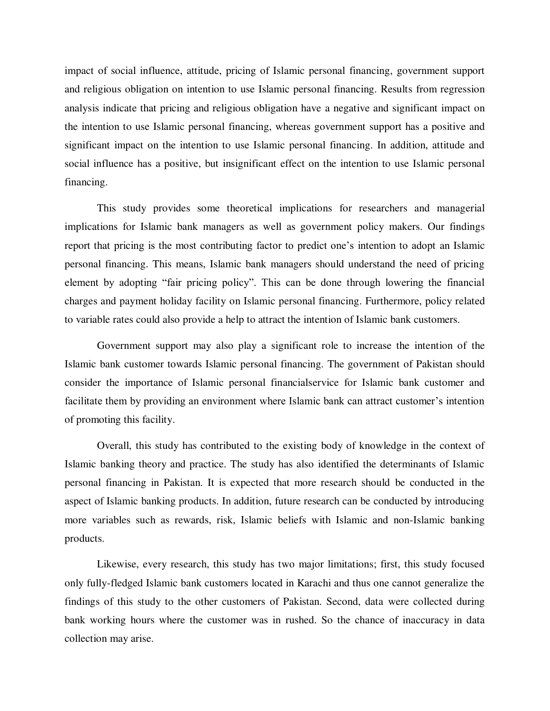impact of social influence, attitude, pricing of Islamic personal financing, government support and religious obligation on intention to use Islamic personal financing. Results from regression analysis indicate that pricing and religious obligation have a negative and significant impact on the intention to use Islamic personal financing, whereas government support has a positive and significant impact on the intention to use Islamic personal financing. In addition, attitude and social influence has a positive, but insignificant effect on the intention to use Islamic personal financing.

 This study provides some theoretical implications for researchers and managerial implications for Islamic bank managers as well as government policy makers. Our findings report that pricing is the most contributing factor to predict one"s intention to adopt an Islamic personal financing. This means, Islamic bank managers should understand the need of pricing element by adopting "fair pricing policy". This can be done through lowering the financial charges and payment holiday facility on Islamic personal financing. Furthermore, policy related to variable rates could also provide a help to attract the intention of Islamic bank customers.

Government support may also play a significant role to increase the intention of the Islamic bank customer towards Islamic personal financing. The government of Pakistan should consider the importance of Islamic personal financialservice for Islamic bank customer and facilitate them by providing an environment where Islamic bank can attract customer's intention of promoting this facility.

 Overall, this study has contributed to the existing body of knowledge in the context of Islamic banking theory and practice. The study has also identified the determinants of Islamic personal financing in Pakistan. It is expected that more research should be conducted in the aspect of Islamic banking products. In addition, future research can be conducted by introducing more variables such as rewards, risk, Islamic beliefs with Islamic and non-Islamic banking products.

 Likewise, every research, this study has two major limitations; first, this study focused only fully-fledged Islamic bank customers located in Karachi and thus one cannot generalize the findings of this study to the other customers of Pakistan. Second, data were collected during bank working hours where the customer was in rushed. So the chance of inaccuracy in data collection may arise.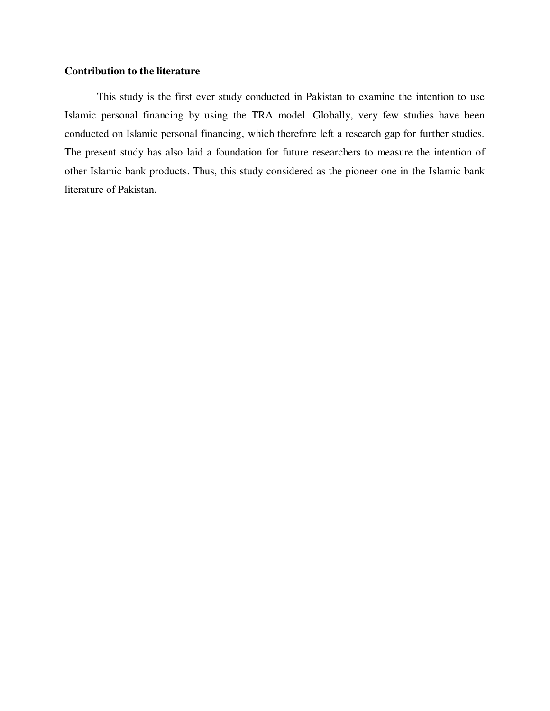# **Contribution to the literature**

This study is the first ever study conducted in Pakistan to examine the intention to use Islamic personal financing by using the TRA model. Globally, very few studies have been conducted on Islamic personal financing, which therefore left a research gap for further studies. The present study has also laid a foundation for future researchers to measure the intention of other Islamic bank products. Thus, this study considered as the pioneer one in the Islamic bank literature of Pakistan.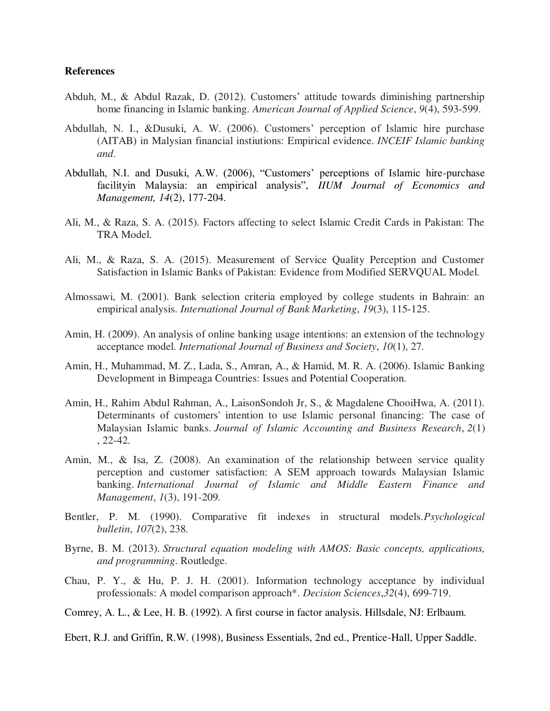# **References**

- Abduh, M., & Abdul Razak, D. (2012). Customers" attitude towards diminishing partnership home financing in Islamic banking. *American Journal of Applied Science*, *9*(4), 593-599.
- Abdullah, N. I., &Dusuki, A. W. (2006). Customers" perception of Islamic hire purchase (AITAB) in Malysian financial instiutions: Empirical evidence. *INCEIF Islamic banking and*.
- Abdullah, N.I. and Dusuki, A.W. (2006), "Customers" perceptions of Islamic hire-purchase facilityin Malaysia: an empirical analysis", *IIUM Journal of Economics and Management, 14*(2), 177-204.
- Ali, M., & Raza, S. A. (2015). Factors affecting to select Islamic Credit Cards in Pakistan: The TRA Model.
- Ali, M., & Raza, S. A. (2015). Measurement of Service Quality Perception and Customer Satisfaction in Islamic Banks of Pakistan: Evidence from Modified SERVQUAL Model.
- Almossawi, M. (2001). Bank selection criteria employed by college students in Bahrain: an empirical analysis. *International Journal of Bank Marketing*, *19*(3), 115-125.
- Amin, H. (2009). An analysis of online banking usage intentions: an extension of the technology acceptance model. *International Journal of Business and Society*, *10*(1), 27.
- Amin, H., Muhammad, M. Z., Lada, S., Amran, A., & Hamid, M. R. A. (2006). Islamic Banking Development in Bimpeaga Countries: Issues and Potential Cooperation.
- Amin, H., Rahim Abdul Rahman, A., LaisonSondoh Jr, S., & Magdalene ChooiHwa, A. (2011). Determinants of customers' intention to use Islamic personal financing: The case of Malaysian Islamic banks. *Journal of Islamic Accounting and Business Research*, *2*(1) , 22-42.
- Amin, M., & Isa, Z. (2008). An examination of the relationship between service quality perception and customer satisfaction: A SEM approach towards Malaysian Islamic banking. *International Journal of Islamic and Middle Eastern Finance and Management*, *1*(3), 191-209.
- Bentler, P. M. (1990). Comparative fit indexes in structural models.*Psychological bulletin*, *107*(2), 238.
- Byrne, B. M. (2013). *Structural equation modeling with AMOS: Basic concepts, applications, and programming*. Routledge.
- Chau, P. Y., & Hu, P. J. H. (2001). Information technology acceptance by individual professionals: A model comparison approach\*. *Decision Sciences*,*32*(4), 699-719.

Comrey, A. L., & Lee, H. B. (1992). A first course in factor analysis. Hillsdale, NJ: Erlbaum.

Ebert, R.J. and Griffin, R.W. (1998), Business Essentials, 2nd ed., Prentice-Hall, Upper Saddle.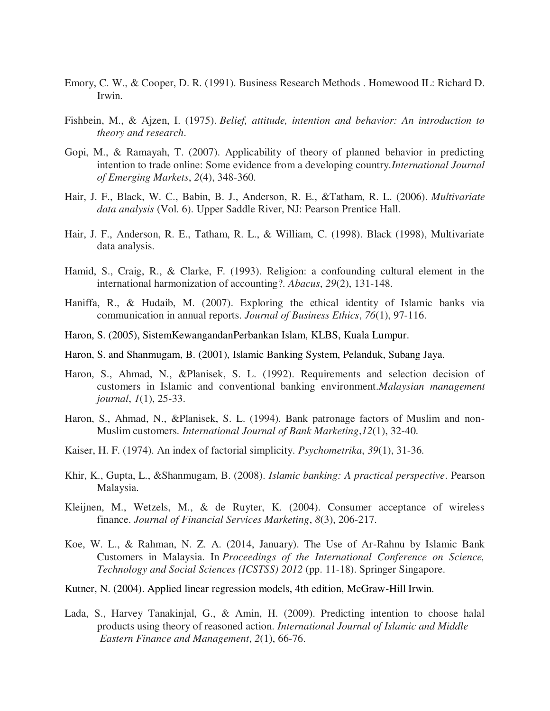- Emory, C. W., & Cooper, D. R. (1991). Business Research Methods . Homewood IL: Richard D. Irwin.
- Fishbein, M., & Ajzen, I. (1975). *Belief, attitude, intention and behavior: An introduction to theory and research*.
- Gopi, M., & Ramayah, T. (2007). Applicability of theory of planned behavior in predicting intention to trade online: Some evidence from a developing country.*International Journal of Emerging Markets*, *2*(4), 348-360.
- Hair, J. F., Black, W. C., Babin, B. J., Anderson, R. E., &Tatham, R. L. (2006). *Multivariate data analysis* (Vol. 6). Upper Saddle River, NJ: Pearson Prentice Hall.
- Hair, J. F., Anderson, R. E., Tatham, R. L., & William, C. (1998). Black (1998), Multivariate data analysis.
- Hamid, S., Craig, R., & Clarke, F. (1993). Religion: a confounding cultural element in the international harmonization of accounting?. *Abacus*, *29*(2), 131-148.
- Haniffa, R., & Hudaib, M. (2007). Exploring the ethical identity of Islamic banks via communication in annual reports. *Journal of Business Ethics*, *76*(1), 97-116.
- Haron, S. (2005), SistemKewangandanPerbankan Islam, KLBS, Kuala Lumpur.
- Haron, S. and Shanmugam, B. (2001), Islamic Banking System, Pelanduk, Subang Jaya.
- Haron, S., Ahmad, N., &Planisek, S. L. (1992). Requirements and selection decision of customers in Islamic and conventional banking environment.*Malaysian management journal*, *1*(1), 25-33.
- Haron, S., Ahmad, N., &Planisek, S. L. (1994). Bank patronage factors of Muslim and non- Muslim customers. *International Journal of Bank Marketing*,*12*(1), 32-40.
- Kaiser, H. F. (1974). An index of factorial simplicity. *Psychometrika*, *39*(1), 31-36.
- Khir, K., Gupta, L., &Shanmugam, B. (2008). *Islamic banking: A practical perspective*. Pearson Malaysia.
- Kleijnen, M., Wetzels, M., & de Ruyter, K. (2004). Consumer acceptance of wireless finance. *Journal of Financial Services Marketing*, *8*(3), 206-217.
- Koe, W. L., & Rahman, N. Z. A. (2014, January). The Use of Ar-Rahnu by Islamic Bank Customers in Malaysia. In *Proceedings of the International Conference on Science, Technology and Social Sciences (ICSTSS) 2012* (pp. 11-18). Springer Singapore.
- Kutner, N. (2004). Applied linear regression models, 4th edition, McGraw-Hill Irwin.
- Lada, S., Harvey Tanakinjal, G., & Amin, H. (2009). Predicting intention to choose halal products using theory of reasoned action. *International Journal of Islamic and Middle Eastern Finance and Management*, *2*(1), 66-76.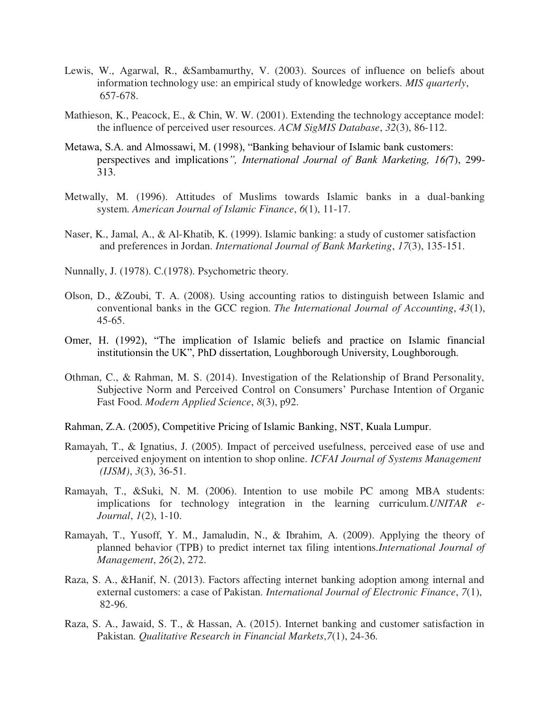- Lewis, W., Agarwal, R., &Sambamurthy, V. (2003). Sources of influence on beliefs about information technology use: an empirical study of knowledge workers. *MIS quarterly*, 657-678.
- Mathieson, K., Peacock, E., & Chin, W. W. (2001). Extending the technology acceptance model: the influence of perceived user resources. *ACM SigMIS Database*, *32*(3), 86-112.
- Metawa, S.A. and Almossawi, M. (1998), "Banking behaviour of Islamic bank customers: perspectives and implications*", International Journal of Bank Marketing, 16(*7), 299- 313.
- Metwally, M. (1996). Attitudes of Muslims towards Islamic banks in a dual-banking system. *American Journal of Islamic Finance*, *6*(1), 11-17.
- Naser, K., Jamal, A., & Al-Khatib, K. (1999). Islamic banking: a study of customer satisfaction and preferences in Jordan. *International Journal of Bank Marketing*, *17*(3), 135-151.
- Nunnally, J. (1978). C.(1978). Psychometric theory.
- Olson, D., &Zoubi, T. A. (2008). Using accounting ratios to distinguish between Islamic and conventional banks in the GCC region. *The International Journal of Accounting*, *43*(1), 45-65.
- Omer, H. (1992), "The implication of Islamic beliefs and practice on Islamic financial institutionsin the UK", PhD dissertation, Loughborough University, Loughborough.
- Othman, C., & Rahman, M. S. (2014). Investigation of the Relationship of Brand Personality, Subjective Norm and Perceived Control on Consumers" Purchase Intention of Organic Fast Food. *Modern Applied Science*, *8*(3), p92.
- Rahman, Z.A. (2005), Competitive Pricing of Islamic Banking, NST, Kuala Lumpur.
- Ramayah, T., & Ignatius, J. (2005). Impact of perceived usefulness, perceived ease of use and perceived enjoyment on intention to shop online. *ICFAI Journal of Systems Management (IJSM)*, *3*(3), 36-51.
- Ramayah, T., &Suki, N. M. (2006). Intention to use mobile PC among MBA students: implications for technology integration in the learning curriculum.*UNITAR e- Journal*, *1*(2), 1-10.
- Ramayah, T., Yusoff, Y. M., Jamaludin, N., & Ibrahim, A. (2009). Applying the theory of planned behavior (TPB) to predict internet tax filing intentions.*International Journal of Management*, *26*(2), 272.
- Raza, S. A., &Hanif, N. (2013). Factors affecting internet banking adoption among internal and external customers: a case of Pakistan. *International Journal of Electronic Finance*, *7*(1), 82-96.
- Raza, S. A., Jawaid, S. T., & Hassan, A. (2015). Internet banking and customer satisfaction in Pakistan. *Qualitative Research in Financial Markets*,*7*(1), 24-36.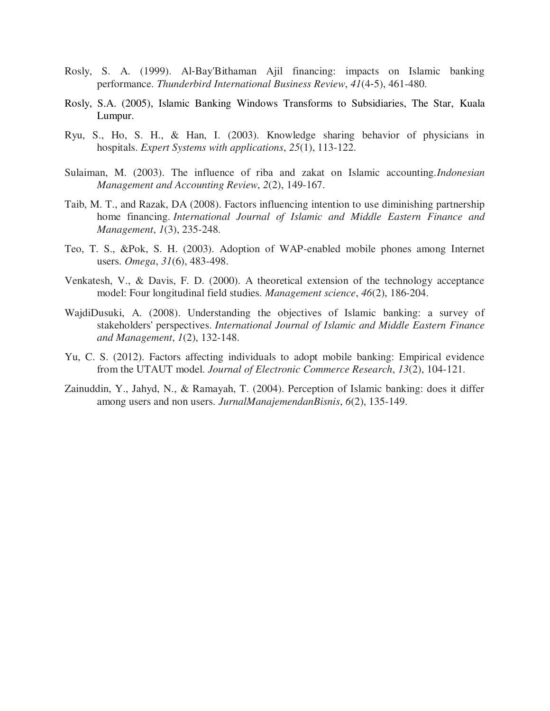- Rosly, S. A. (1999). Al‐Bay'Bithaman Ajil financing: impacts on Islamic banking performance. *Thunderbird International Business Review*, *41*(4‐5), 461-480.
- Rosly, S.A. (2005), Islamic Banking Windows Transforms to Subsidiaries, The Star, Kuala Lumpur.
- Ryu, S., Ho, S. H., & Han, I. (2003). Knowledge sharing behavior of physicians in hospitals. *Expert Systems with applications*, *25*(1), 113-122.
- Sulaiman, M. (2003). The influence of riba and zakat on Islamic accounting.*Indonesian Management and Accounting Review*, *2*(2), 149-167.
- Taib, M. T., and Razak, DA (2008). Factors influencing intention to use diminishing partnership home financing. *International Journal of Islamic and Middle Eastern Finance and Management*, *1*(3), 235-248.
- Teo, T. S., &Pok, S. H. (2003). Adoption of WAP-enabled mobile phones among Internet users. *Omega*, *31*(6), 483-498.
- Venkatesh, V., & Davis, F. D. (2000). A theoretical extension of the technology acceptance model: Four longitudinal field studies. *Management science*, *46*(2), 186-204.
- WajdiDusuki, A. (2008). Understanding the objectives of Islamic banking: a survey of stakeholders' perspectives. *International Journal of Islamic and Middle Eastern Finance and Management*, *1*(2), 132-148.
- Yu, C. S. (2012). Factors affecting individuals to adopt mobile banking: Empirical evidence from the UTAUT model. *Journal of Electronic Commerce Research*, *13*(2), 104-121.
- Zainuddin, Y., Jahyd, N., & Ramayah, T. (2004). Perception of Islamic banking: does it differ among users and non users. *JurnalManajemendanBisnis*, *6*(2), 135-149.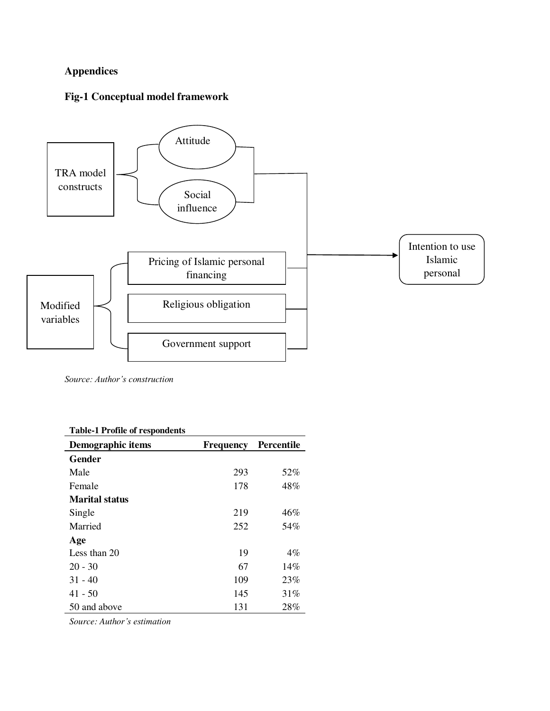# **Appendices**

# **Fig-1 Conceptual model framework**



*Source: Author's construction* 

| <b>Table-1 Profile of respondents</b> |                  |                   |
|---------------------------------------|------------------|-------------------|
| Demographic items                     | <b>Frequency</b> | <b>Percentile</b> |
| Gender                                |                  |                   |
| Male                                  | 293              | 52%               |
| Female                                | 178              | 48%               |
| <b>Marital status</b>                 |                  |                   |
| Single                                | 219              | 46%               |
| Married                               | 252              | 54%               |
| Age                                   |                  |                   |
| Less than 20                          | 19               | $4\%$             |
| $20 - 30$                             | 67               | 14%               |
| $31 - 40$                             | 109              | 23%               |
| $41 - 50$                             | 145              | 31%               |
| 50 and above                          | 131              | 28%               |

*Source: Author's estimation*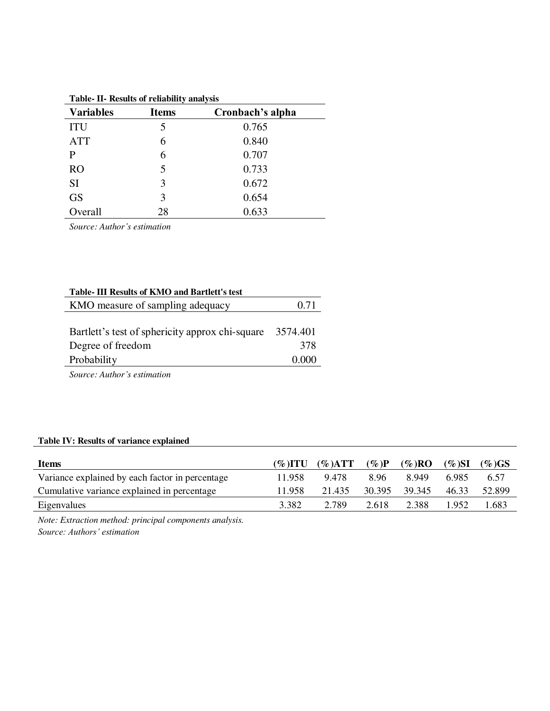| rapic in results of remability amarysis |              |                  |  |  |  |  |
|-----------------------------------------|--------------|------------------|--|--|--|--|
| <b>Variables</b>                        | <b>Items</b> | Cronbach's alpha |  |  |  |  |
| <b>ITU</b>                              | 5            | 0.765            |  |  |  |  |
| <b>ATT</b>                              | 6            | 0.840            |  |  |  |  |
| P                                       | 6            | 0.707            |  |  |  |  |
| <b>RO</b>                               | 5            | 0.733            |  |  |  |  |
| <b>SI</b>                               | 3            | 0.672            |  |  |  |  |
| <b>GS</b>                               | 3            | 0.654            |  |  |  |  |
| Overall                                 | 28           | 0.633            |  |  |  |  |

**Table- II- Results of reliability analysis** 

*Source: Author's estimation* 

| Table- III Results of KMO and Bartlett's test   |          |
|-------------------------------------------------|----------|
| KMO measure of sampling adequacy                | 0.71     |
|                                                 |          |
| Bartlett's test of sphericity approx chi-square | 3574.401 |
| Degree of freedom                               | 378      |
| Probability                                     | 0.000    |
| ~ * * * * *                                     |          |

*Source: Author's estimation* 

# **Table IV: Results of variance explained**

| <b>Items</b>                                    | $(\% )$ itu | $(\%)ATT$ | $(\%)P$ | $(\%$ )RO     | (%)SI | $(\%$ )GS |
|-------------------------------------------------|-------------|-----------|---------|---------------|-------|-----------|
| Variance explained by each factor in percentage | 11.958      | 9.478     | 8.96    | 8949          | 6.985 | 6.57      |
| Cumulative variance explained in percentage     | 11.958      | 21.435    |         | 30.395 39.345 | 46.33 | 52.899    |
| Eigenvalues                                     | 3.382       | 2.789     | 2.618   | 2.388         | 1.952 | 1.683     |

*Note: Extraction method: principal components analysis. Source: Authors' estimation*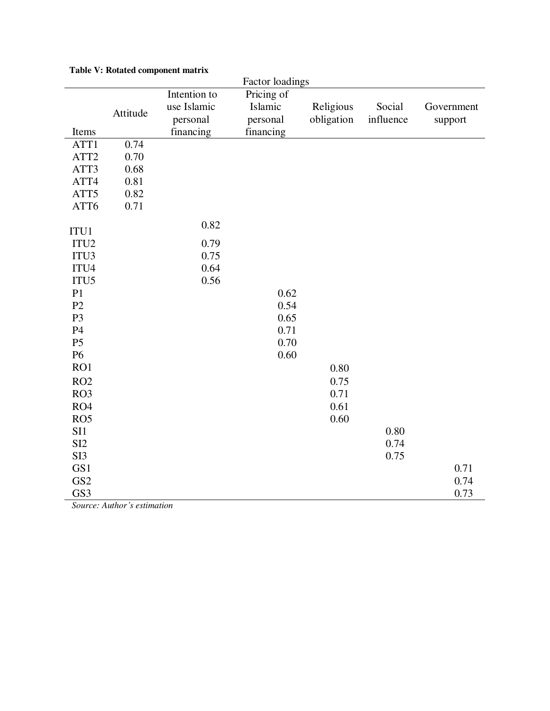| Factor loadings  |             |              |            |            |            |         |  |
|------------------|-------------|--------------|------------|------------|------------|---------|--|
|                  |             | Intention to | Pricing of |            |            |         |  |
| Attitude         | use Islamic | Islamic      | Religious  | Social     | Government |         |  |
|                  |             | personal     | personal   | obligation | influence  | support |  |
| Items            |             | financing    | financing  |            |            |         |  |
| ATT1             | 0.74        |              |            |            |            |         |  |
| ATT2             | 0.70        |              |            |            |            |         |  |
| ATT3             | 0.68        |              |            |            |            |         |  |
| ATT4             | 0.81        |              |            |            |            |         |  |
| ATT5             | 0.82        |              |            |            |            |         |  |
| ATT6             | 0.71        |              |            |            |            |         |  |
| ITU1             |             | 0.82         |            |            |            |         |  |
| ITU <sub>2</sub> |             | 0.79         |            |            |            |         |  |
| ITU3             |             | 0.75         |            |            |            |         |  |
| ITU4             |             | 0.64         |            |            |            |         |  |
| ITU5             |             | 0.56         |            |            |            |         |  |
| P <sub>1</sub>   |             |              | 0.62       |            |            |         |  |
| P <sub>2</sub>   |             |              | 0.54       |            |            |         |  |
| P <sub>3</sub>   |             |              | 0.65       |            |            |         |  |
| P4               |             |              | 0.71       |            |            |         |  |
| P <sub>5</sub>   |             |              | 0.70       |            |            |         |  |
| P <sub>6</sub>   |             |              | 0.60       |            |            |         |  |
| RO1              |             |              |            | 0.80       |            |         |  |
| RO <sub>2</sub>  |             |              |            | 0.75       |            |         |  |
| RO <sub>3</sub>  |             |              |            | 0.71       |            |         |  |
| RO4              |             |              |            | 0.61       |            |         |  |
| RO <sub>5</sub>  |             |              |            | 0.60       |            |         |  |
| SI1              |             |              |            |            | 0.80       |         |  |
| SI <sub>2</sub>  |             |              |            |            | 0.74       |         |  |
| SI3              |             |              |            |            | 0.75       |         |  |
| GS1              |             |              |            |            |            | 0.71    |  |
| GS <sub>2</sub>  |             |              |            |            |            | 0.74    |  |
| GS3              |             |              |            |            |            | 0.73    |  |

#### **Table V: Rotated component matrix**

 *Source: Author's estimation*